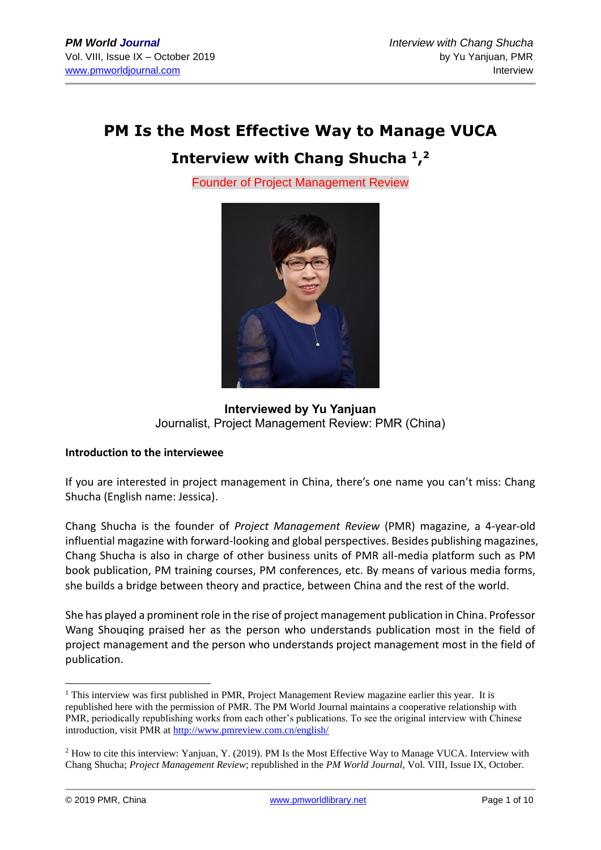# **PM Is the Most Effective Way to Manage VUCA**

# **Interview with Chang Shucha <sup>1</sup> , 2**

Founder of Project Management Review



**Interviewed by Yu Yanjuan** Journalist, Project Management Review: PMR (China)

#### **Introduction to the interviewee**

If you are interested in project management in China, there's one name you can't miss: Chang Shucha (English name: Jessica).

Chang Shucha is the founder of *Project Management Review* (PMR) magazine, a 4-year-old influential magazine with forward-looking and global perspectives. Besides publishing magazines, Chang Shucha is also in charge of other business units of PMR all-media platform such as PM book publication, PM training courses, PM conferences, etc. By means of various media forms, she builds a bridge between theory and practice, between China and the rest of the world.

She has played a prominent role in the rise of project management publication in China. Professor Wang Shouqing praised her as the person who understands publication most in the field of project management and the person who understands project management most in the field of publication.

<sup>&</sup>lt;sup>1</sup> This interview was first published in PMR, Project Management Review magazine earlier this year. It is republished here with the permission of PMR. The PM World Journal maintains a cooperative relationship with PMR, periodically republishing works from each other's publications. To see the original interview with Chinese introduction, visit PMR at<http://www.pmreview.com.cn/english/>

<sup>2</sup> How to cite this interview: Yanjuan, Y. (2019). PM Is the Most Effective Way to Manage VUCA. Interview with Chang Shucha; *Project Management Review*; republished in the *PM World Journal*, Vol. VIII, Issue IX, October.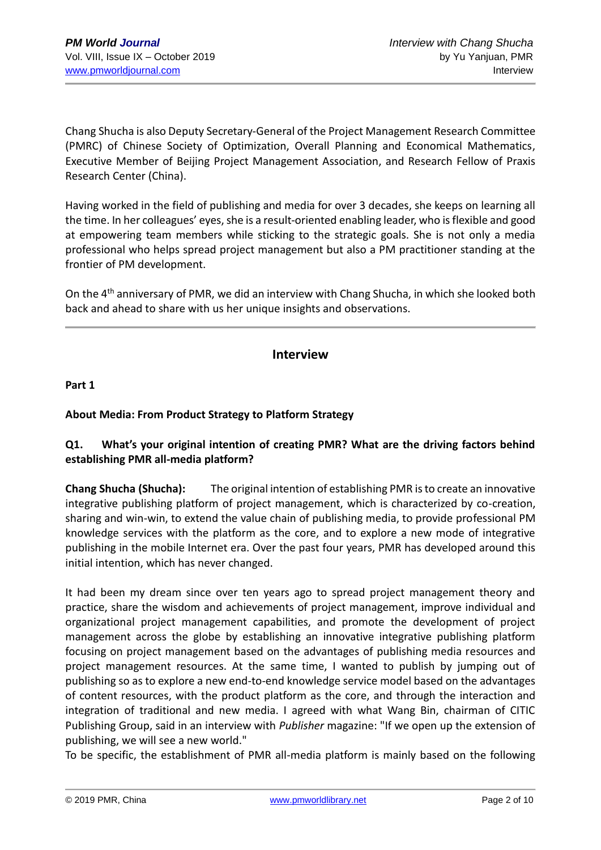Chang Shucha is also Deputy Secretary-General of the Project Management Research Committee (PMRC) of Chinese Society of Optimization, Overall Planning and Economical Mathematics, Executive Member of Beijing Project Management Association, and Research Fellow of Praxis Research Center (China).

Having worked in the field of publishing and media for over 3 decades, she keeps on learning all the time. In her colleagues' eyes, she is a result-oriented enabling leader, who is flexible and good at empowering team members while sticking to the strategic goals. She is not only a media professional who helps spread project management but also a PM practitioner standing at the frontier of PM development.

On the 4<sup>th</sup> anniversary of PMR, we did an interview with Chang Shucha, in which she looked both back and ahead to share with us her unique insights and observations.

# **Interview**

**Part 1**

# **About Media: From Product Strategy to Platform Strategy**

# **Q1. What's your original intention of creating PMR? What are the driving factors behind establishing PMR all-media platform?**

**Chang Shucha (Shucha):** The original intention of establishing PMR is to create an innovative integrative publishing platform of project management, which is characterized by co-creation, sharing and win-win, to extend the value chain of publishing media, to provide professional PM knowledge services with the platform as the core, and to explore a new mode of integrative publishing in the mobile Internet era. Over the past four years, PMR has developed around this initial intention, which has never changed.

It had been my dream since over ten years ago to spread project management theory and practice, share the wisdom and achievements of project management, improve individual and organizational project management capabilities, and promote the development of project management across the globe by establishing an innovative integrative publishing platform focusing on project management based on the advantages of publishing media resources and project management resources. At the same time, I wanted to publish by jumping out of publishing so as to explore a new end-to-end knowledge service model based on the advantages of content resources, with the product platform as the core, and through the interaction and integration of traditional and new media. I agreed with what Wang Bin, chairman of CITIC Publishing Group, said in an interview with *Publisher* magazine: "If we open up the extension of publishing, we will see a new world."

To be specific, the establishment of PMR all-media platform is mainly based on the following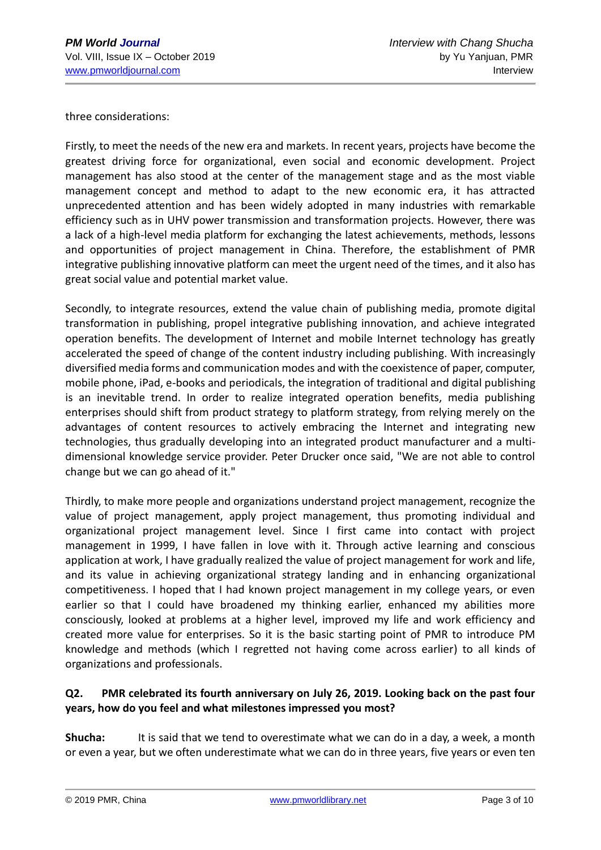three considerations:

Firstly, to meet the needs of the new era and markets. In recent years, projects have become the greatest driving force for organizational, even social and economic development. Project management has also stood at the center of the management stage and as the most viable management concept and method to adapt to the new economic era, it has attracted unprecedented attention and has been widely adopted in many industries with remarkable efficiency such as in UHV power transmission and transformation projects. However, there was a lack of a high-level media platform for exchanging the latest achievements, methods, lessons and opportunities of project management in China. Therefore, the establishment of PMR integrative publishing innovative platform can meet the urgent need of the times, and it also has great social value and potential market value.

Secondly, to integrate resources, extend the value chain of publishing media, promote digital transformation in publishing, propel integrative publishing innovation, and achieve integrated operation benefits. The development of Internet and mobile Internet technology has greatly accelerated the speed of change of the content industry including publishing. With increasingly diversified media forms and communication modes and with the coexistence of paper, computer, mobile phone, iPad, e-books and periodicals, the integration of traditional and digital publishing is an inevitable trend. In order to realize integrated operation benefits, media publishing enterprises should shift from product strategy to platform strategy, from relying merely on the advantages of content resources to actively embracing the Internet and integrating new technologies, thus gradually developing into an integrated product manufacturer and a multidimensional knowledge service provider. Peter Drucker once said, "We are not able to control change but we can go ahead of it."

Thirdly, to make more people and organizations understand project management, recognize the value of project management, apply project management, thus promoting individual and organizational project management level. Since I first came into contact with project management in 1999, I have fallen in love with it. Through active learning and conscious application at work, I have gradually realized the value of project management for work and life, and its value in achieving organizational strategy landing and in enhancing organizational competitiveness. I hoped that I had known project management in my college years, or even earlier so that I could have broadened my thinking earlier, enhanced my abilities more consciously, looked at problems at a higher level, improved my life and work efficiency and created more value for enterprises. So it is the basic starting point of PMR to introduce PM knowledge and methods (which I regretted not having come across earlier) to all kinds of organizations and professionals.

# **Q2. PMR celebrated its fourth anniversary on July 26, 2019. Looking back on the past four years, how do you feel and what milestones impressed you most?**

**Shucha:** It is said that we tend to overestimate what we can do in a day, a week, a month or even a year, but we often underestimate what we can do in three years, five years or even ten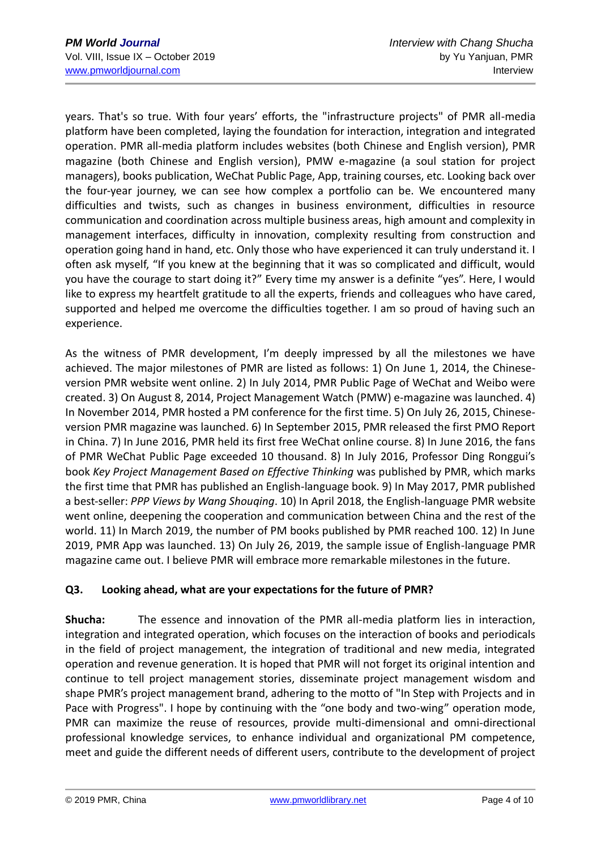years. That's so true. With four years' efforts, the "infrastructure projects" of PMR all-media platform have been completed, laying the foundation for interaction, integration and integrated operation. PMR all-media platform includes websites (both Chinese and English version), PMR magazine (both Chinese and English version), PMW e-magazine (a soul station for project managers), books publication, WeChat Public Page, App, training courses, etc. Looking back over the four-year journey, we can see how complex a portfolio can be. We encountered many difficulties and twists, such as changes in business environment, difficulties in resource communication and coordination across multiple business areas, high amount and complexity in management interfaces, difficulty in innovation, complexity resulting from construction and operation going hand in hand, etc. Only those who have experienced it can truly understand it. I often ask myself, "If you knew at the beginning that it was so complicated and difficult, would you have the courage to start doing it?" Every time my answer is a definite "yes". Here, I would like to express my heartfelt gratitude to all the experts, friends and colleagues who have cared, supported and helped me overcome the difficulties together. I am so proud of having such an experience.

As the witness of PMR development, I'm deeply impressed by all the milestones we have achieved. The major milestones of PMR are listed as follows: 1) On June 1, 2014, the Chineseversion PMR website went online. 2) In July 2014, PMR Public Page of WeChat and Weibo were created. 3) On August 8, 2014, Project Management Watch (PMW) e-magazine was launched. 4) In November 2014, PMR hosted a PM conference for the first time. 5) On July 26, 2015, Chineseversion PMR magazine was launched. 6) In September 2015, PMR released the first PMO Report in China. 7) In June 2016, PMR held its first free WeChat online course. 8) In June 2016, the fans of PMR WeChat Public Page exceeded 10 thousand. 8) In July 2016, Professor Ding Ronggui's book *Key Project Management Based on Effective Thinking* was published by PMR, which marks the first time that PMR has published an English-language book. 9) In May 2017, PMR published a best-seller: *PPP Views by Wang Shouqing*. 10) In April 2018, the English-language PMR website went online, deepening the cooperation and communication between China and the rest of the world. 11) In March 2019, the number of PM books published by PMR reached 100. 12) In June 2019, PMR App was launched. 13) On July 26, 2019, the sample issue of English-language PMR magazine came out. I believe PMR will embrace more remarkable milestones in the future.

# **Q3. Looking ahead, what are your expectations for the future of PMR?**

**Shucha:** The essence and innovation of the PMR all-media platform lies in interaction, integration and integrated operation, which focuses on the interaction of books and periodicals in the field of project management, the integration of traditional and new media, integrated operation and revenue generation. It is hoped that PMR will not forget its original intention and continue to tell project management stories, disseminate project management wisdom and shape PMR's project management brand, adhering to the motto of "In Step with Projects and in Pace with Progress". I hope by continuing with the "one body and two-wing" operation mode, PMR can maximize the reuse of resources, provide multi-dimensional and omni-directional professional knowledge services, to enhance individual and organizational PM competence, meet and guide the different needs of different users, contribute to the development of project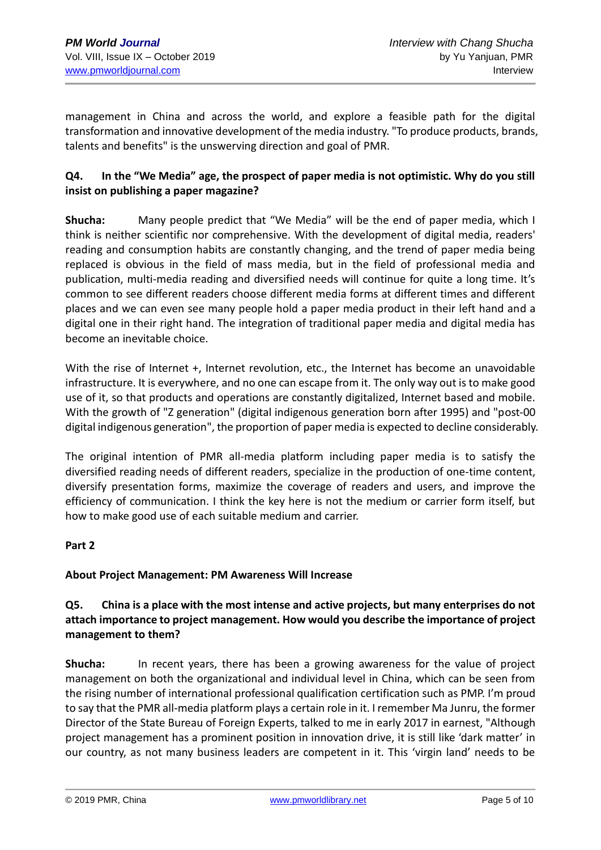management in China and across the world, and explore a feasible path for the digital transformation and innovative development of the media industry. "To produce products, brands, talents and benefits" is the unswerving direction and goal of PMR.

# **Q4. In the "We Media" age, the prospect of paper media is not optimistic. Why do you still insist on publishing a paper magazine?**

**Shucha:** Many people predict that "We Media" will be the end of paper media, which I think is neither scientific nor comprehensive. With the development of digital media, readers' reading and consumption habits are constantly changing, and the trend of paper media being replaced is obvious in the field of mass media, but in the field of professional media and publication, multi-media reading and diversified needs will continue for quite a long time. It's common to see different readers choose different media forms at different times and different places and we can even see many people hold a paper media product in their left hand and a digital one in their right hand. The integration of traditional paper media and digital media has become an inevitable choice.

With the rise of Internet +, Internet revolution, etc., the Internet has become an unavoidable infrastructure. It is everywhere, and no one can escape from it. The only way out is to make good use of it, so that products and operations are constantly digitalized, Internet based and mobile. With the growth of "Z generation" (digital indigenous generation born after 1995) and "post-00 digital indigenous generation", the proportion of paper media is expected to decline considerably.

The original intention of PMR all-media platform including paper media is to satisfy the diversified reading needs of different readers, specialize in the production of one-time content, diversify presentation forms, maximize the coverage of readers and users, and improve the efficiency of communication. I think the key here is not the medium or carrier form itself, but how to make good use of each suitable medium and carrier.

#### **Part 2**

# **About Project Management: PM Awareness Will Increase**

# **Q5. China is a place with the most intense and active projects, but many enterprises do not attach importance to project management. How would you describe the importance of project management to them?**

**Shucha:** In recent years, there has been a growing awareness for the value of project management on both the organizational and individual level in China, which can be seen from the rising number of international professional qualification certification such as PMP. I'm proud to say that the PMR all-media platform plays a certain role in it. I remember Ma Junru, the former Director of the State Bureau of Foreign Experts, talked to me in early 2017 in earnest, "Although project management has a prominent position in innovation drive, it is still like 'dark matter' in our country, as not many business leaders are competent in it. This 'virgin land' needs to be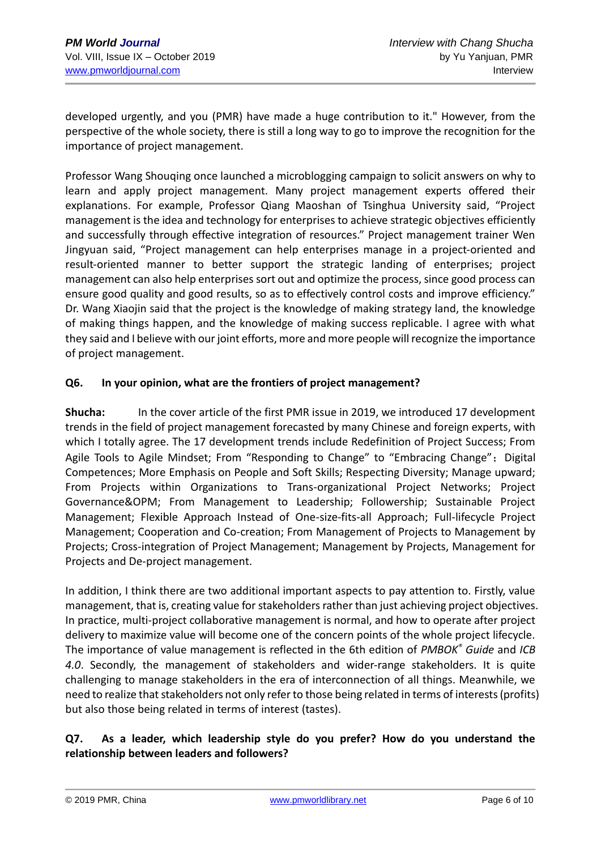developed urgently, and you (PMR) have made a huge contribution to it." However, from the perspective of the whole society, there is still a long way to go to improve the recognition for the importance of project management.

Professor Wang Shouqing once launched a microblogging campaign to solicit answers on why to learn and apply project management. Many project management experts offered their explanations. For example, Professor Qiang Maoshan of Tsinghua University said, "Project management is the idea and technology for enterprises to achieve strategic objectives efficiently and successfully through effective integration of resources." Project management trainer Wen Jingyuan said, "Project management can help enterprises manage in a project-oriented and result-oriented manner to better support the strategic landing of enterprises; project management can also help enterprises sort out and optimize the process, since good process can ensure good quality and good results, so as to effectively control costs and improve efficiency." Dr. Wang Xiaojin said that the project is the knowledge of making strategy land, the knowledge of making things happen, and the knowledge of making success replicable. I agree with what they said and I believe with our joint efforts, more and more people will recognize the importance of project management.

#### **Q6. In your opinion, what are the frontiers of project management?**

**Shucha:** In the cover article of the first PMR issue in 2019, we introduced 17 development trends in the field of project management forecasted by many Chinese and foreign experts, with which I totally agree. The 17 development trends include Redefinition of Project Success; From Agile Tools to Agile Mindset; From "Responding to Change" to "Embracing Change"; Digital Competences; More Emphasis on People and Soft Skills; Respecting Diversity; Manage upward; From Projects within Organizations to Trans-organizational Project Networks; Project Governance&OPM; From Management to Leadership; Followership; Sustainable Project Management; Flexible Approach Instead of One-size-fits-all Approach; Full-lifecycle Project Management; Cooperation and Co-creation; From Management of Projects to Management by Projects; Cross-integration of Project Management; Management by Projects, Management for Projects and De-project management.

In addition, I think there are two additional important aspects to pay attention to. Firstly, value management, that is, creating value for stakeholders rather than just achieving project objectives. In practice, multi-project collaborative management is normal, and how to operate after project delivery to maximize value will become one of the concern points of the whole project lifecycle. The importance of value management is reflected in the 6th edition of *PMBOK® Guide* and *ICB 4.0*. Secondly, the management of stakeholders and wider-range stakeholders. It is quite challenging to manage stakeholders in the era of interconnection of all things. Meanwhile, we need to realize that stakeholders not only refer to those being related in terms of interests (profits) but also those being related in terms of interest (tastes).

# **Q7. As a leader, which leadership style do you prefer? How do you understand the relationship between leaders and followers?**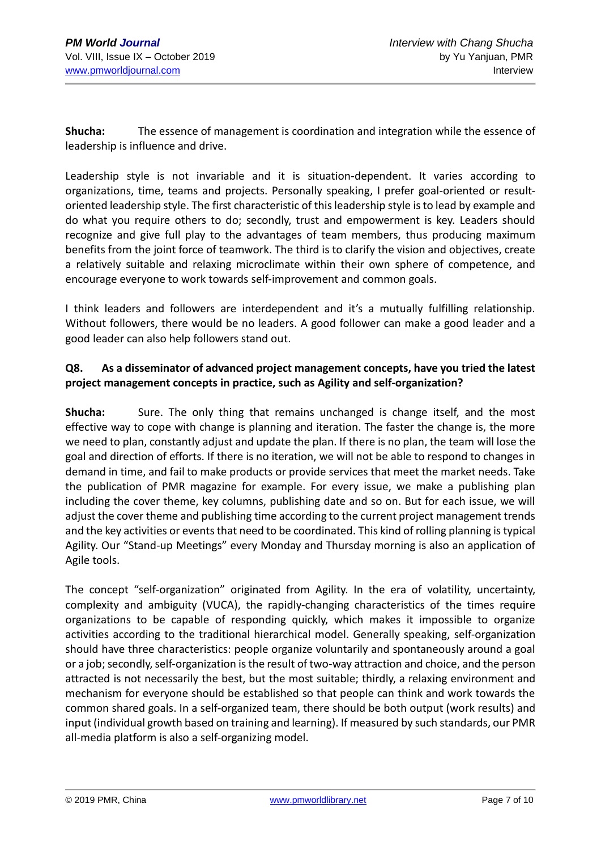**Shucha:** The essence of management is coordination and integration while the essence of leadership is influence and drive.

Leadership style is not invariable and it is situation-dependent. It varies according to organizations, time, teams and projects. Personally speaking, I prefer goal-oriented or resultoriented leadership style. The first characteristic of this leadership style is to lead by example and do what you require others to do; secondly, trust and empowerment is key. Leaders should recognize and give full play to the advantages of team members, thus producing maximum benefits from the joint force of teamwork. The third is to clarify the vision and objectives, create a relatively suitable and relaxing microclimate within their own sphere of competence, and encourage everyone to work towards self-improvement and common goals.

I think leaders and followers are interdependent and it's a mutually fulfilling relationship. Without followers, there would be no leaders. A good follower can make a good leader and a good leader can also help followers stand out.

# **Q8. As a disseminator of advanced project management concepts, have you tried the latest project management concepts in practice, such as Agility and self-organization?**

**Shucha:** Sure. The only thing that remains unchanged is change itself, and the most effective way to cope with change is planning and iteration. The faster the change is, the more we need to plan, constantly adjust and update the plan. If there is no plan, the team will lose the goal and direction of efforts. If there is no iteration, we will not be able to respond to changes in demand in time, and fail to make products or provide services that meet the market needs. Take the publication of PMR magazine for example. For every issue, we make a publishing plan including the cover theme, key columns, publishing date and so on. But for each issue, we will adjust the cover theme and publishing time according to the current project management trends and the key activities or events that need to be coordinated. This kind of rolling planning is typical Agility. Our "Stand-up Meetings" every Monday and Thursday morning is also an application of Agile tools.

The concept "self-organization" originated from Agility. In the era of volatility, uncertainty, complexity and ambiguity (VUCA), the rapidly-changing characteristics of the times require organizations to be capable of responding quickly, which makes it impossible to organize activities according to the traditional hierarchical model. Generally speaking, self-organization should have three characteristics: people organize voluntarily and spontaneously around a goal or a job; secondly, self-organization is the result of two-way attraction and choice, and the person attracted is not necessarily the best, but the most suitable; thirdly, a relaxing environment and mechanism for everyone should be established so that people can think and work towards the common shared goals. In a self-organized team, there should be both output (work results) and input (individual growth based on training and learning). If measured by such standards, our PMR all-media platform is also a self-organizing model.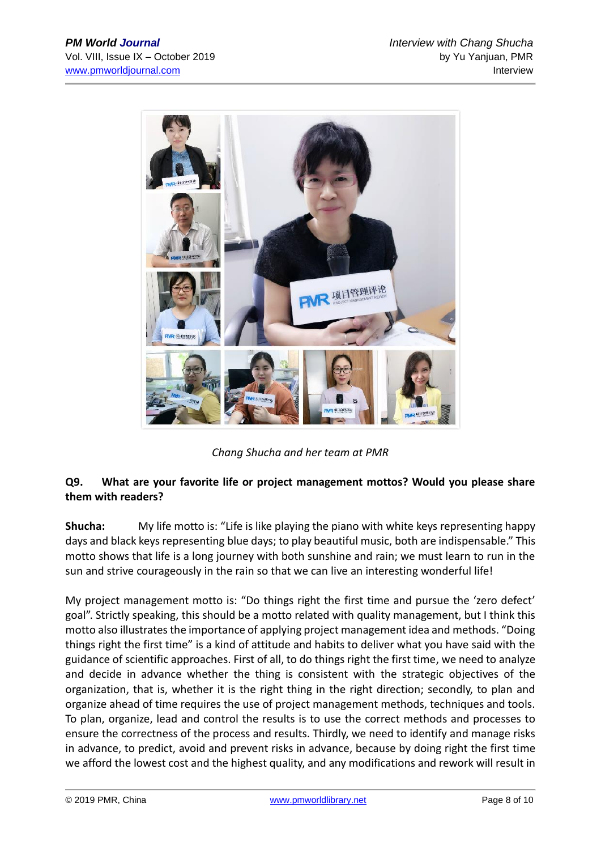

*Chang Shucha and her team at PMR*

# **Q9. What are your favorite life or project management mottos? Would you please share them with readers?**

**Shucha:** My life motto is: "Life is like playing the piano with white keys representing happy days and black keys representing blue days; to play beautiful music, both are indispensable." This motto shows that life is a long journey with both sunshine and rain; we must learn to run in the sun and strive courageously in the rain so that we can live an interesting wonderful life!

My project management motto is: "Do things right the first time and pursue the 'zero defect' goal". Strictly speaking, this should be a motto related with quality management, but I think this motto also illustrates the importance of applying project management idea and methods. "Doing things right the first time" is a kind of attitude and habits to deliver what you have said with the guidance of scientific approaches. First of all, to do things right the first time, we need to analyze and decide in advance whether the thing is consistent with the strategic objectives of the organization, that is, whether it is the right thing in the right direction; secondly, to plan and organize ahead of time requires the use of project management methods, techniques and tools. To plan, organize, lead and control the results is to use the correct methods and processes to ensure the correctness of the process and results. Thirdly, we need to identify and manage risks in advance, to predict, avoid and prevent risks in advance, because by doing right the first time we afford the lowest cost and the highest quality, and any modifications and rework will result in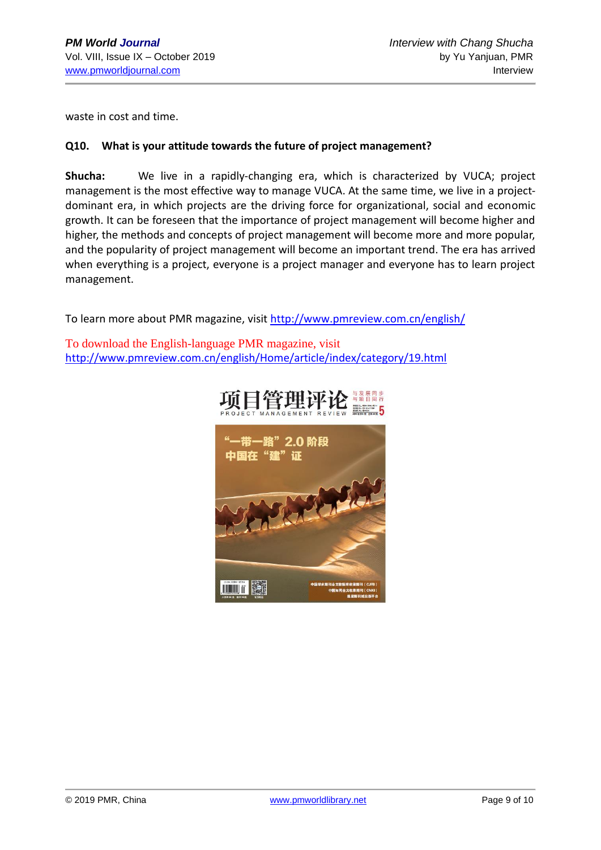waste in cost and time.

#### **Q10. What is your attitude towards the future of project management?**

**Shucha:** We live in a rapidly-changing era, which is characterized by VUCA; project management is the most effective way to manage VUCA. At the same time, we live in a projectdominant era, in which projects are the driving force for organizational, social and economic growth. It can be foreseen that the importance of project management will become higher and higher, the methods and concepts of project management will become more and more popular, and the popularity of project management will become an important trend. The era has arrived when everything is a project, everyone is a project manager and everyone has to learn project management.

To learn more about PMR magazine, visit<http://www.pmreview.com.cn/english/>

To download the English-language PMR magazine, visit http://www.pmreview.com.cn/english/Home/article/index/category/19.html